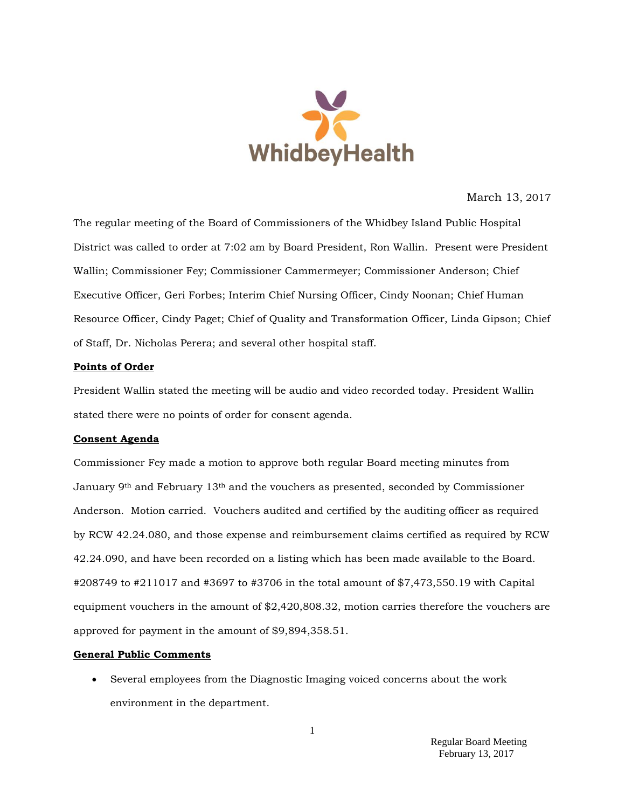

March 13, 2017

The regular meeting of the Board of Commissioners of the Whidbey Island Public Hospital District was called to order at 7:02 am by Board President, Ron Wallin. Present were President Wallin; Commissioner Fey; Commissioner Cammermeyer; Commissioner Anderson; Chief Executive Officer, Geri Forbes; Interim Chief Nursing Officer, Cindy Noonan; Chief Human Resource Officer, Cindy Paget; Chief of Quality and Transformation Officer, Linda Gipson; Chief of Staff, Dr. Nicholas Perera; and several other hospital staff.

## **Points of Order**

President Wallin stated the meeting will be audio and video recorded today. President Wallin stated there were no points of order for consent agenda.

### **Consent Agenda**

Commissioner Fey made a motion to approve both regular Board meeting minutes from January 9th and February 13th and the vouchers as presented, seconded by Commissioner Anderson. Motion carried. Vouchers audited and certified by the auditing officer as required by RCW 42.24.080, and those expense and reimbursement claims certified as required by RCW 42.24.090, and have been recorded on a listing which has been made available to the Board. #208749 to #211017 and #3697 to #3706 in the total amount of \$7,473,550.19 with Capital equipment vouchers in the amount of \$2,420,808.32, motion carries therefore the vouchers are approved for payment in the amount of \$9,894,358.51.

### **General Public Comments**

 Several employees from the Diagnostic Imaging voiced concerns about the work environment in the department.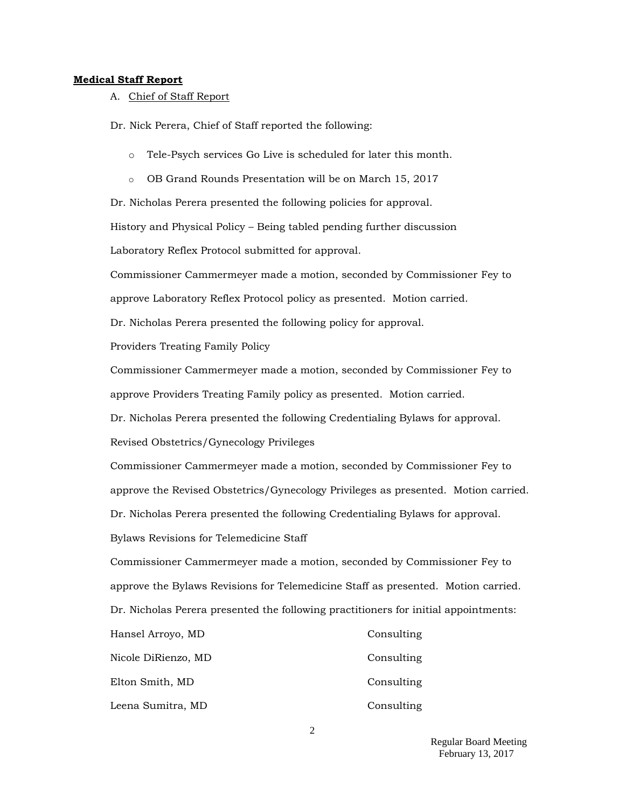#### **Medical Staff Report**

A. Chief of Staff Report

Dr. Nick Perera, Chief of Staff reported the following:

- o Tele-Psych services Go Live is scheduled for later this month.
- o OB Grand Rounds Presentation will be on March 15, 2017

Dr. Nicholas Perera presented the following policies for approval.

History and Physical Policy – Being tabled pending further discussion

Laboratory Reflex Protocol submitted for approval.

Commissioner Cammermeyer made a motion, seconded by Commissioner Fey to

approve Laboratory Reflex Protocol policy as presented. Motion carried.

Dr. Nicholas Perera presented the following policy for approval.

Providers Treating Family Policy

Commissioner Cammermeyer made a motion, seconded by Commissioner Fey to approve Providers Treating Family policy as presented. Motion carried.

Dr. Nicholas Perera presented the following Credentialing Bylaws for approval.

Revised Obstetrics/Gynecology Privileges

Commissioner Cammermeyer made a motion, seconded by Commissioner Fey to approve the Revised Obstetrics/Gynecology Privileges as presented. Motion carried.

Dr. Nicholas Perera presented the following Credentialing Bylaws for approval.

Bylaws Revisions for Telemedicine Staff

Commissioner Cammermeyer made a motion, seconded by Commissioner Fey to approve the Bylaws Revisions for Telemedicine Staff as presented. Motion carried. Dr. Nicholas Perera presented the following practitioners for initial appointments:

| Hansel Arroyo, MD   | Consulting |
|---------------------|------------|
| Nicole DiRienzo, MD | Consulting |
| Elton Smith, MD     | Consulting |
| Leena Sumitra, MD   | Consulting |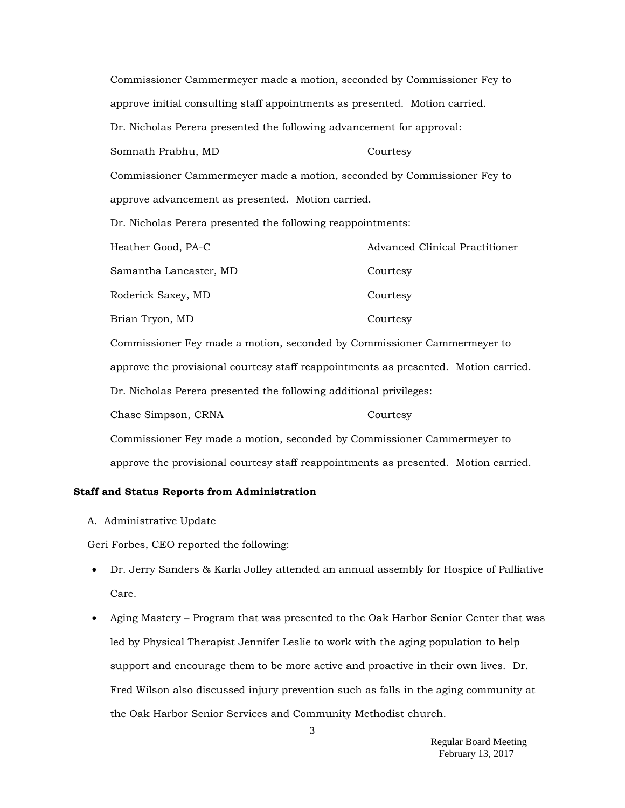Commissioner Cammermeyer made a motion, seconded by Commissioner Fey to approve initial consulting staff appointments as presented. Motion carried. Dr. Nicholas Perera presented the following advancement for approval: Somnath Prabhu, MD Courtesy Commissioner Cammermeyer made a motion, seconded by Commissioner Fey to approve advancement as presented. Motion carried. Dr. Nicholas Perera presented the following reappointments: Heather Good, PA-C Advanced Clinical Practitioner Samantha Lancaster, MD Courtesy Roderick Saxey, MD Courtesy Brian Tryon, MD Courtesy Commissioner Fey made a motion, seconded by Commissioner Cammermeyer to approve the provisional courtesy staff reappointments as presented. Motion carried. Dr. Nicholas Perera presented the following additional privileges: Chase Simpson, CRNA Courtesy Commissioner Fey made a motion, seconded by Commissioner Cammermeyer to approve the provisional courtesy staff reappointments as presented. Motion carried.

### **Staff and Status Reports from Administration**

#### A. Administrative Update

Geri Forbes, CEO reported the following:

- Dr. Jerry Sanders & Karla Jolley attended an annual assembly for Hospice of Palliative Care.
- Aging Mastery Program that was presented to the Oak Harbor Senior Center that was led by Physical Therapist Jennifer Leslie to work with the aging population to help support and encourage them to be more active and proactive in their own lives. Dr. Fred Wilson also discussed injury prevention such as falls in the aging community at the Oak Harbor Senior Services and Community Methodist church.

3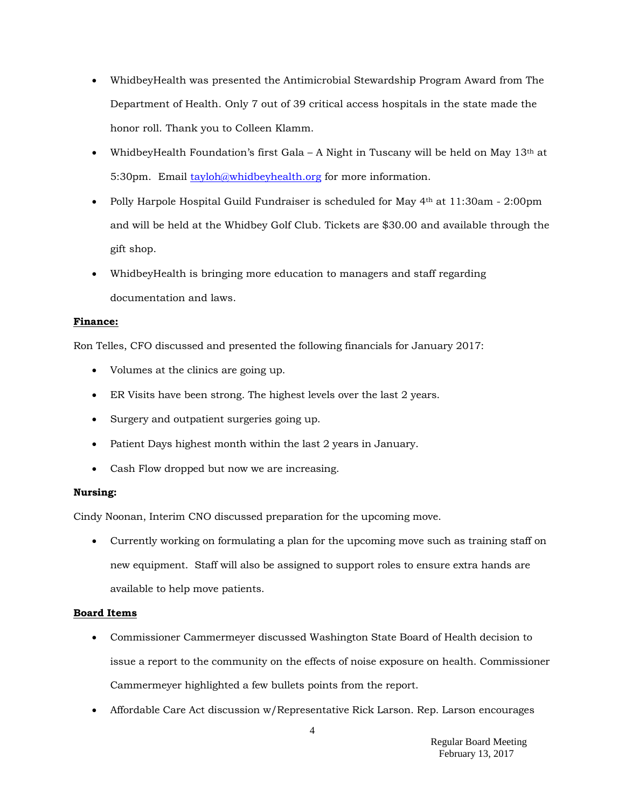- WhidbeyHealth was presented the Antimicrobial Stewardship Program Award from The Department of Health. Only 7 out of 39 critical access hospitals in the state made the honor roll. Thank you to Colleen Klamm.
- WhidbeyHealth Foundation's first Gala A Night in Tuscany will be held on May  $13<sup>th</sup>$  at 5:30pm. Email [tayloh@whidbeyhealth.org](mailto:tayloh@whidbeyhealth.org) for more information.
- Polly Harpole Hospital Guild Fundraiser is scheduled for May  $4<sup>th</sup>$  at 11:30am 2:00pm and will be held at the Whidbey Golf Club. Tickets are \$30.00 and available through the gift shop.
- WhidbeyHealth is bringing more education to managers and staff regarding documentation and laws.

## **Finance:**

Ron Telles, CFO discussed and presented the following financials for January 2017:

- Volumes at the clinics are going up.
- ER Visits have been strong. The highest levels over the last 2 years.
- Surgery and outpatient surgeries going up.
- Patient Days highest month within the last 2 years in January.
- Cash Flow dropped but now we are increasing.

### **Nursing:**

Cindy Noonan, Interim CNO discussed preparation for the upcoming move.

 Currently working on formulating a plan for the upcoming move such as training staff on new equipment. Staff will also be assigned to support roles to ensure extra hands are available to help move patients.

# **Board Items**

- Commissioner Cammermeyer discussed Washington State Board of Health decision to issue a report to the community on the effects of noise exposure on health. Commissioner Cammermeyer highlighted a few bullets points from the report.
- 4 Affordable Care Act discussion w/Representative Rick Larson. Rep. Larson encourages